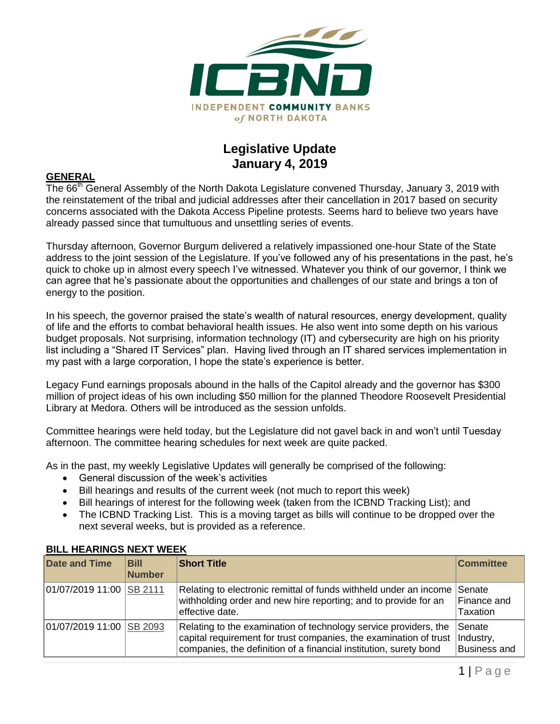

## **Legislative Update January 4, 2019**

## **GENERAL**

The 66<sup>th</sup> General Assembly of the North Dakota Legislature convened Thursday, January 3, 2019 with the reinstatement of the tribal and judicial addresses after their cancellation in 2017 based on security concerns associated with the Dakota Access Pipeline protests. Seems hard to believe two years have already passed since that tumultuous and unsettling series of events.

Thursday afternoon, Governor Burgum delivered a relatively impassioned one-hour State of the State address to the joint session of the Legislature. If you've followed any of his presentations in the past, he's quick to choke up in almost every speech I've witnessed. Whatever you think of our governor, I think we can agree that he's passionate about the opportunities and challenges of our state and brings a ton of energy to the position.

In his speech, the governor praised the state's wealth of natural resources, energy development, quality of life and the efforts to combat behavioral health issues. He also went into some depth on his various budget proposals. Not surprising, information technology (IT) and cybersecurity are high on his priority list including a "Shared IT Services" plan. Having lived through an IT shared services implementation in my past with a large corporation, I hope the state's experience is better.

Legacy Fund earnings proposals abound in the halls of the Capitol already and the governor has \$300 million of project ideas of his own including \$50 million for the planned Theodore Roosevelt Presidential Library at Medora. Others will be introduced as the session unfolds.

Committee hearings were held today, but the Legislature did not gavel back in and won't until Tuesday afternoon. The committee hearing schedules for next week are quite packed.

As in the past, my weekly Legislative Updates will generally be comprised of the following:

- General discussion of the week's activities
- Bill hearings and results of the current week (not much to report this week)
- Bill hearings of interest for the following week (taken from the ICBND Tracking List); and
- The ICBND Tracking List. This is a moving target as bills will continue to be dropped over the next several weeks, but is provided as a reference.

| <b>Date and Time</b>     | <b>Bill</b><br><b>Number</b> | <b>Short Title</b>                                                                                                                                                                                         | <b>Committee</b>                           |
|--------------------------|------------------------------|------------------------------------------------------------------------------------------------------------------------------------------------------------------------------------------------------------|--------------------------------------------|
| 01/07/2019 11:00 SB 2111 |                              | Relating to electronic remittal of funds withheld under an income<br>withholding order and new hire reporting; and to provide for an<br>effective date.                                                    | Senate<br>Finance and<br>Taxation          |
| 01/07/2019 11:00 SB 2093 |                              | Relating to the examination of technology service providers, the<br>capital requirement for trust companies, the examination of trust<br>companies, the definition of a financial institution, surety bond | Senate<br>Industry,<br><b>Business and</b> |

## **BILL HEARINGS NEXT WEEK**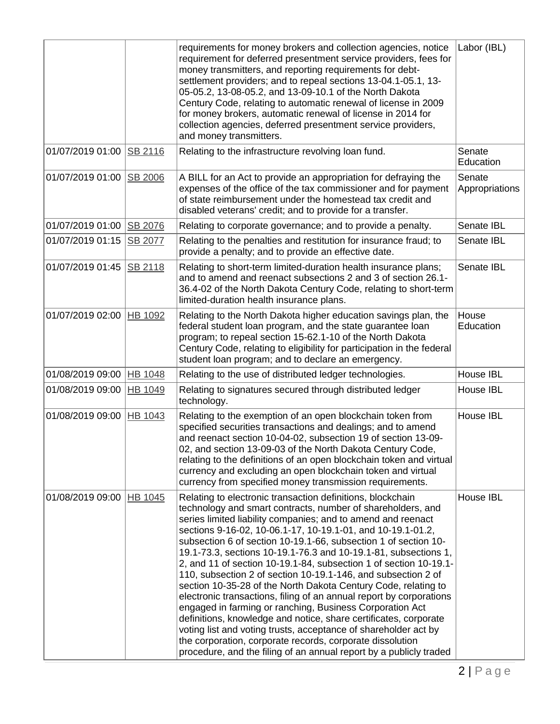|                  |                | requirements for money brokers and collection agencies, notice<br>requirement for deferred presentment service providers, fees for<br>money transmitters, and reporting requirements for debt-<br>settlement providers; and to repeal sections 13-04.1-05.1, 13-<br>05-05.2, 13-08-05.2, and 13-09-10.1 of the North Dakota<br>Century Code, relating to automatic renewal of license in 2009<br>for money brokers, automatic renewal of license in 2014 for<br>collection agencies, deferred presentment service providers,<br>and money transmitters.                                                                                                                                                                                                                                                                                                                                                                                                                                                             | Labor (IBL)              |
|------------------|----------------|---------------------------------------------------------------------------------------------------------------------------------------------------------------------------------------------------------------------------------------------------------------------------------------------------------------------------------------------------------------------------------------------------------------------------------------------------------------------------------------------------------------------------------------------------------------------------------------------------------------------------------------------------------------------------------------------------------------------------------------------------------------------------------------------------------------------------------------------------------------------------------------------------------------------------------------------------------------------------------------------------------------------|--------------------------|
| 01/07/2019 01:00 | SB 2116        | Relating to the infrastructure revolving loan fund.                                                                                                                                                                                                                                                                                                                                                                                                                                                                                                                                                                                                                                                                                                                                                                                                                                                                                                                                                                 | Senate<br>Education      |
| 01/07/2019 01:00 | SB 2006        | A BILL for an Act to provide an appropriation for defraying the<br>expenses of the office of the tax commissioner and for payment<br>of state reimbursement under the homestead tax credit and<br>disabled veterans' credit; and to provide for a transfer.                                                                                                                                                                                                                                                                                                                                                                                                                                                                                                                                                                                                                                                                                                                                                         | Senate<br>Appropriations |
| 01/07/2019 01:00 | <b>SB 2076</b> | Relating to corporate governance; and to provide a penalty.                                                                                                                                                                                                                                                                                                                                                                                                                                                                                                                                                                                                                                                                                                                                                                                                                                                                                                                                                         | Senate IBL               |
| 01/07/2019 01:15 | SB 2077        | Relating to the penalties and restitution for insurance fraud; to<br>provide a penalty; and to provide an effective date.                                                                                                                                                                                                                                                                                                                                                                                                                                                                                                                                                                                                                                                                                                                                                                                                                                                                                           | Senate IBL               |
| 01/07/2019 01:45 | SB 2118        | Relating to short-term limited-duration health insurance plans;<br>and to amend and reenact subsections 2 and 3 of section 26.1-<br>36.4-02 of the North Dakota Century Code, relating to short-term<br>limited-duration health insurance plans.                                                                                                                                                                                                                                                                                                                                                                                                                                                                                                                                                                                                                                                                                                                                                                    | Senate IBL               |
| 01/07/2019 02:00 | HB 1092        | Relating to the North Dakota higher education savings plan, the<br>federal student loan program, and the state guarantee loan<br>program; to repeal section 15-62.1-10 of the North Dakota<br>Century Code, relating to eligibility for participation in the federal<br>student loan program; and to declare an emergency.                                                                                                                                                                                                                                                                                                                                                                                                                                                                                                                                                                                                                                                                                          | House<br>Education       |
| 01/08/2019 09:00 | <b>HB 1048</b> | Relating to the use of distributed ledger technologies.                                                                                                                                                                                                                                                                                                                                                                                                                                                                                                                                                                                                                                                                                                                                                                                                                                                                                                                                                             | House IBL                |
| 01/08/2019 09:00 | HB 1049        | Relating to signatures secured through distributed ledger<br>technology.                                                                                                                                                                                                                                                                                                                                                                                                                                                                                                                                                                                                                                                                                                                                                                                                                                                                                                                                            | House IBL                |
| 01/08/2019 09:00 | HB 1043        | Relating to the exemption of an open blockchain token from<br>specified securities transactions and dealings; and to amend<br>and reenact section 10-04-02, subsection 19 of section 13-09-<br>02, and section 13-09-03 of the North Dakota Century Code,<br>relating to the definitions of an open blockchain token and virtual<br>currency and excluding an open blockchain token and virtual<br>currency from specified money transmission requirements.                                                                                                                                                                                                                                                                                                                                                                                                                                                                                                                                                         | House IBL                |
| 01/08/2019 09:00 | HB 1045        | Relating to electronic transaction definitions, blockchain<br>technology and smart contracts, number of shareholders, and<br>series limited liability companies; and to amend and reenact<br>sections 9-16-02, 10-06.1-17, 10-19.1-01, and 10-19.1-01.2,<br>subsection 6 of section 10-19.1-66, subsection 1 of section 10-<br>19.1-73.3, sections 10-19.1-76.3 and 10-19.1-81, subsections 1,<br>2, and 11 of section 10-19.1-84, subsection 1 of section 10-19.1-<br>110, subsection 2 of section 10-19.1-146, and subsection 2 of<br>section 10-35-28 of the North Dakota Century Code, relating to<br>electronic transactions, filing of an annual report by corporations<br>engaged in farming or ranching, Business Corporation Act<br>definitions, knowledge and notice, share certificates, corporate<br>voting list and voting trusts, acceptance of shareholder act by<br>the corporation, corporate records, corporate dissolution<br>procedure, and the filing of an annual report by a publicly traded | House IBL                |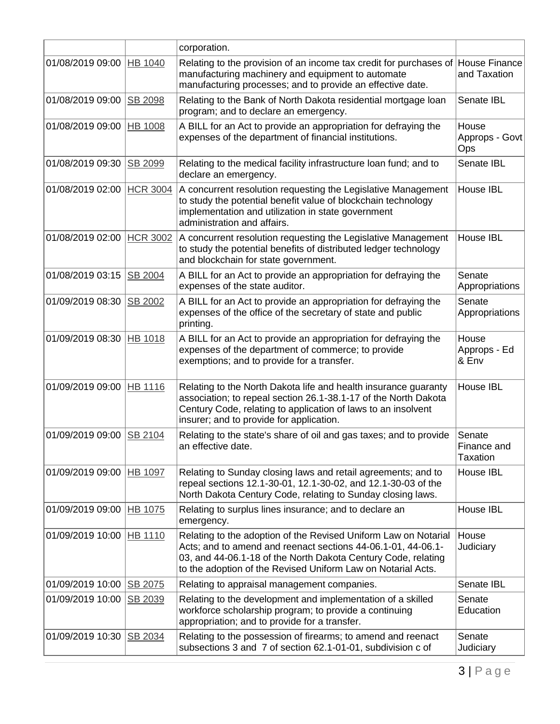|                  |                 | corporation.                                                                                                                                                                                                                                                     |                                          |
|------------------|-----------------|------------------------------------------------------------------------------------------------------------------------------------------------------------------------------------------------------------------------------------------------------------------|------------------------------------------|
| 01/08/2019 09:00 | HB 1040         | Relating to the provision of an income tax credit for purchases of<br>manufacturing machinery and equipment to automate<br>manufacturing processes; and to provide an effective date.                                                                            | House Finance<br>and Taxation            |
| 01/08/2019 09:00 | SB 2098         | Relating to the Bank of North Dakota residential mortgage loan<br>program; and to declare an emergency.                                                                                                                                                          | Senate IBL                               |
| 01/08/2019 09:00 | <b>HB 1008</b>  | A BILL for an Act to provide an appropriation for defraying the<br>expenses of the department of financial institutions.                                                                                                                                         | House<br>Approps - Govt<br>Ops           |
| 01/08/2019 09:30 | SB 2099         | Relating to the medical facility infrastructure loan fund; and to<br>declare an emergency.                                                                                                                                                                       | Senate IBL                               |
| 01/08/2019 02:00 | <b>HCR 3004</b> | A concurrent resolution requesting the Legislative Management<br>to study the potential benefit value of blockchain technology<br>implementation and utilization in state government<br>administration and affairs.                                              | House IBL                                |
| 01/08/2019 02:00 | <b>HCR 3002</b> | A concurrent resolution requesting the Legislative Management<br>to study the potential benefits of distributed ledger technology<br>and blockchain for state government.                                                                                        | House IBL                                |
| 01/08/2019 03:15 | SB 2004         | A BILL for an Act to provide an appropriation for defraying the<br>expenses of the state auditor.                                                                                                                                                                | Senate<br>Appropriations                 |
| 01/09/2019 08:30 | SB 2002         | A BILL for an Act to provide an appropriation for defraying the<br>expenses of the office of the secretary of state and public<br>printing.                                                                                                                      | Senate<br>Appropriations                 |
| 01/09/2019 08:30 | <b>HB 1018</b>  | A BILL for an Act to provide an appropriation for defraying the<br>expenses of the department of commerce; to provide<br>exemptions; and to provide for a transfer.                                                                                              | House<br>Approps - Ed<br>& Env           |
| 01/09/2019 09:00 | <b>HB 1116</b>  | Relating to the North Dakota life and health insurance guaranty<br>association; to repeal section 26.1-38.1-17 of the North Dakota<br>Century Code, relating to application of laws to an insolvent<br>insurer; and to provide for application.                  | House IBL                                |
| 01/09/2019 09:00 | SB 2104         | Relating to the state's share of oil and gas taxes; and to provide<br>an effective date                                                                                                                                                                          | Senate<br>Finance and<br><b>Taxation</b> |
| 01/09/2019 09:00 | HB 1097         | Relating to Sunday closing laws and retail agreements; and to<br>repeal sections 12.1-30-01, 12.1-30-02, and 12.1-30-03 of the<br>North Dakota Century Code, relating to Sunday closing laws.                                                                    | House IBL                                |
| 01/09/2019 09:00 | <b>HB 1075</b>  | Relating to surplus lines insurance; and to declare an<br>emergency.                                                                                                                                                                                             | House IBL                                |
| 01/09/2019 10:00 | <b>HB 1110</b>  | Relating to the adoption of the Revised Uniform Law on Notarial<br>Acts; and to amend and reenact sections 44-06.1-01, 44-06.1-<br>03, and 44-06.1-18 of the North Dakota Century Code, relating<br>to the adoption of the Revised Uniform Law on Notarial Acts. | House<br>Judiciary                       |
| 01/09/2019 10:00 | <b>SB 2075</b>  | Relating to appraisal management companies.                                                                                                                                                                                                                      | Senate IBL                               |
| 01/09/2019 10:00 | SB 2039         | Relating to the development and implementation of a skilled<br>workforce scholarship program; to provide a continuing<br>appropriation; and to provide for a transfer.                                                                                           | Senate<br>Education                      |
| 01/09/2019 10:30 | SB 2034         | Relating to the possession of firearms; to amend and reenact<br>subsections 3 and 7 of section 62.1-01-01, subdivision c of                                                                                                                                      | Senate<br>Judiciary                      |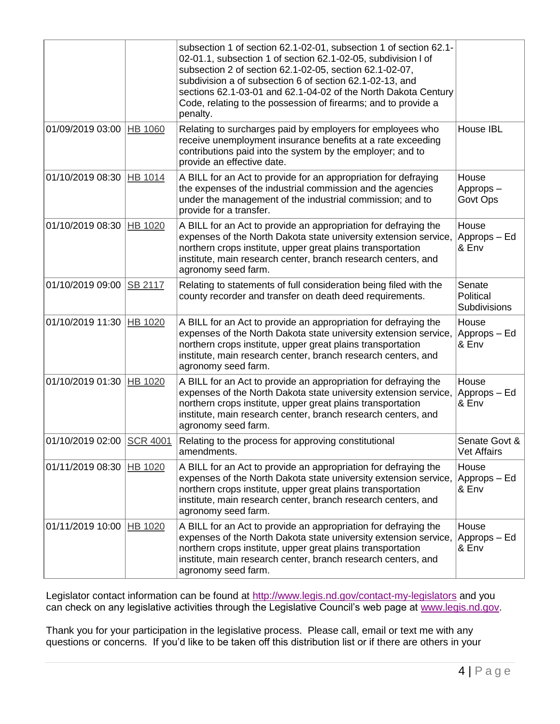|                  |                 | subsection 1 of section 62.1-02-01, subsection 1 of section 62.1-<br>02-01.1, subsection 1 of section 62.1-02-05, subdivision I of<br>subsection 2 of section 62.1-02-05, section 62.1-02-07,<br>subdivision a of subsection 6 of section 62.1-02-13, and<br>sections 62.1-03-01 and 62.1-04-02 of the North Dakota Century<br>Code, relating to the possession of firearms; and to provide a<br>penalty. |                                     |
|------------------|-----------------|-----------------------------------------------------------------------------------------------------------------------------------------------------------------------------------------------------------------------------------------------------------------------------------------------------------------------------------------------------------------------------------------------------------|-------------------------------------|
| 01/09/2019 03:00 | <b>HB 1060</b>  | Relating to surcharges paid by employers for employees who<br>receive unemployment insurance benefits at a rate exceeding<br>contributions paid into the system by the employer; and to<br>provide an effective date.                                                                                                                                                                                     | House IBL                           |
| 01/10/2019 08:30 | HB 1014         | A BILL for an Act to provide for an appropriation for defraying<br>the expenses of the industrial commission and the agencies<br>under the management of the industrial commission; and to<br>provide for a transfer.                                                                                                                                                                                     | House<br>Approps-<br>Govt Ops       |
| 01/10/2019 08:30 | HB 1020         | A BILL for an Act to provide an appropriation for defraying the<br>expenses of the North Dakota state university extension service,<br>northern crops institute, upper great plains transportation<br>institute, main research center, branch research centers, and<br>agronomy seed farm.                                                                                                                | House<br>Approps - Ed<br>& Env      |
| 01/10/2019 09:00 | <b>SB 2117</b>  | Relating to statements of full consideration being filed with the<br>county recorder and transfer on death deed requirements.                                                                                                                                                                                                                                                                             | Senate<br>Political<br>Subdivisions |
| 01/10/2019 11:30 | HB 1020         | A BILL for an Act to provide an appropriation for defraying the<br>expenses of the North Dakota state university extension service,<br>northern crops institute, upper great plains transportation<br>institute, main research center, branch research centers, and<br>agronomy seed farm.                                                                                                                | House<br>Approps - Ed<br>& Env      |
| 01/10/2019 01:30 | HB 1020         | A BILL for an Act to provide an appropriation for defraying the<br>expenses of the North Dakota state university extension service,<br>northern crops institute, upper great plains transportation<br>institute, main research center, branch research centers, and<br>agronomy seed farm.                                                                                                                | House<br>Approps - Ed<br>& Env      |
| 01/10/2019 02:00 | <b>SCR 4001</b> | Relating to the process for approving constitutional<br>amendments.                                                                                                                                                                                                                                                                                                                                       | Senate Govt &<br>Vet Affairs        |
| 01/11/2019 08:30 | <b>HB 1020</b>  | A BILL for an Act to provide an appropriation for defraying the<br>expenses of the North Dakota state university extension service,<br>northern crops institute, upper great plains transportation<br>institute, main research center, branch research centers, and<br>agronomy seed farm.                                                                                                                | House<br>Approps - Ed<br>& Env      |
| 01/11/2019 10:00 | HB 1020         | A BILL for an Act to provide an appropriation for defraying the<br>expenses of the North Dakota state university extension service,<br>northern crops institute, upper great plains transportation<br>institute, main research center, branch research centers, and<br>agronomy seed farm.                                                                                                                | House<br>Approps – Ed<br>& Env      |

Legislator contact information can be found at<http://www.legis.nd.gov/contact-my-legislators> and you can check on any legislative activities through the Legislative Council's web page at [www.legis.nd.gov.](http://www.legis.nd.gov/)

Thank you for your participation in the legislative process. Please call, email or text me with any questions or concerns. If you'd like to be taken off this distribution list or if there are others in your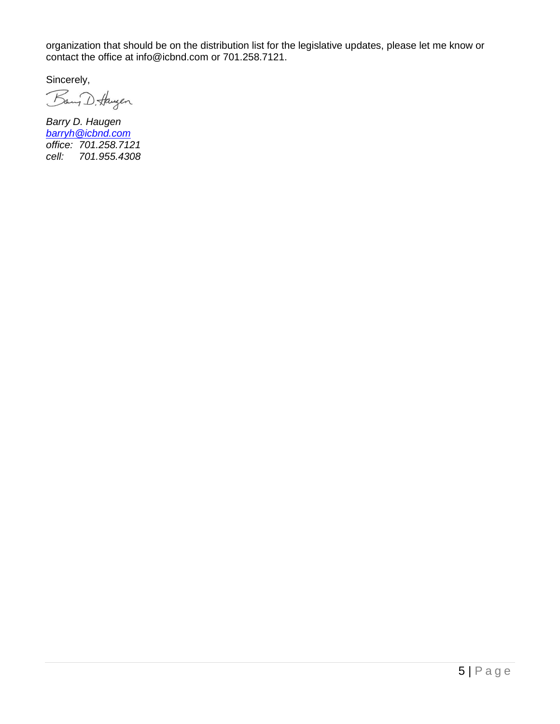organization that should be on the distribution list for the legislative updates, please let me know or contact the office at [info@icbnd.com](mailto:info@icbnd.com) or 701.258.7121.

Sincerely,

Bany D. Haugen

*Barry D. Haugen [barryh@icbnd.com](mailto:barryh@icbnd.com) office: 701.258.7121 cell: 701.955.4308*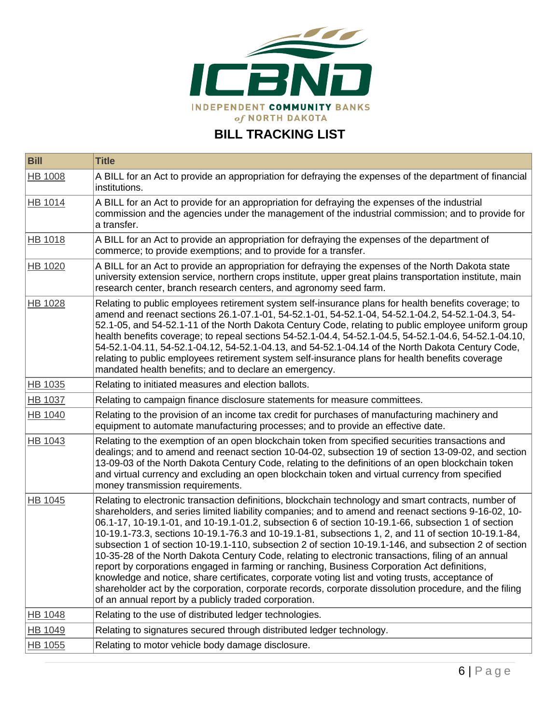

## **BILL TRACKING LIST**

| <b>Bill</b>    | <b>Title</b>                                                                                                                                                                                                                                                                                                                                                                                                                                                                                                                                                                                                                                                                                                                                                                                                                                                                                                                                                                                                     |
|----------------|------------------------------------------------------------------------------------------------------------------------------------------------------------------------------------------------------------------------------------------------------------------------------------------------------------------------------------------------------------------------------------------------------------------------------------------------------------------------------------------------------------------------------------------------------------------------------------------------------------------------------------------------------------------------------------------------------------------------------------------------------------------------------------------------------------------------------------------------------------------------------------------------------------------------------------------------------------------------------------------------------------------|
| <b>HB 1008</b> | A BILL for an Act to provide an appropriation for defraying the expenses of the department of financial<br>institutions.                                                                                                                                                                                                                                                                                                                                                                                                                                                                                                                                                                                                                                                                                                                                                                                                                                                                                         |
| HB 1014        | A BILL for an Act to provide for an appropriation for defraying the expenses of the industrial<br>commission and the agencies under the management of the industrial commission; and to provide for<br>a transfer.                                                                                                                                                                                                                                                                                                                                                                                                                                                                                                                                                                                                                                                                                                                                                                                               |
| HB 1018        | A BILL for an Act to provide an appropriation for defraying the expenses of the department of<br>commerce; to provide exemptions; and to provide for a transfer.                                                                                                                                                                                                                                                                                                                                                                                                                                                                                                                                                                                                                                                                                                                                                                                                                                                 |
| <b>HB 1020</b> | A BILL for an Act to provide an appropriation for defraying the expenses of the North Dakota state<br>university extension service, northern crops institute, upper great plains transportation institute, main<br>research center, branch research centers, and agronomy seed farm.                                                                                                                                                                                                                                                                                                                                                                                                                                                                                                                                                                                                                                                                                                                             |
| <b>HB 1028</b> | Relating to public employees retirement system self-insurance plans for health benefits coverage; to<br>amend and reenact sections 26.1-07.1-01, 54-52.1-01, 54-52.1-04, 54-52.1-04.2, 54-52.1-04.3, 54-<br>52.1-05, and 54-52.1-11 of the North Dakota Century Code, relating to public employee uniform group<br>health benefits coverage; to repeal sections 54-52.1-04.4, 54-52.1-04.5, 54-52.1-04.6, 54-52.1-04.10,<br>54-52.1-04.11, 54-52.1-04.12, 54-52.1-04.13, and 54-52.1-04.14 of the North Dakota Century Code,<br>relating to public employees retirement system self-insurance plans for health benefits coverage<br>mandated health benefits; and to declare an emergency.                                                                                                                                                                                                                                                                                                                       |
| HB 1035        | Relating to initiated measures and election ballots.                                                                                                                                                                                                                                                                                                                                                                                                                                                                                                                                                                                                                                                                                                                                                                                                                                                                                                                                                             |
| HB 1037        | Relating to campaign finance disclosure statements for measure committees.                                                                                                                                                                                                                                                                                                                                                                                                                                                                                                                                                                                                                                                                                                                                                                                                                                                                                                                                       |
| HB 1040        | Relating to the provision of an income tax credit for purchases of manufacturing machinery and<br>equipment to automate manufacturing processes; and to provide an effective date.                                                                                                                                                                                                                                                                                                                                                                                                                                                                                                                                                                                                                                                                                                                                                                                                                               |
| <b>HB 1043</b> | Relating to the exemption of an open blockchain token from specified securities transactions and<br>dealings; and to amend and reenact section 10-04-02, subsection 19 of section 13-09-02, and section<br>13-09-03 of the North Dakota Century Code, relating to the definitions of an open blockchain token<br>and virtual currency and excluding an open blockchain token and virtual currency from specified<br>money transmission requirements.                                                                                                                                                                                                                                                                                                                                                                                                                                                                                                                                                             |
| <b>HB 1045</b> | Relating to electronic transaction definitions, blockchain technology and smart contracts, number of<br>shareholders, and series limited liability companies; and to amend and reenact sections 9-16-02, 10-<br>06.1-17, 10-19.1-01, and 10-19.1-01.2, subsection 6 of section 10-19.1-66, subsection 1 of section<br>10-19.1-73.3, sections 10-19.1-76.3 and 10-19.1-81, subsections 1, 2, and 11 of section 10-19.1-84,<br>subsection 1 of section 10-19.1-110, subsection 2 of section 10-19.1-146, and subsection 2 of section<br>10-35-28 of the North Dakota Century Code, relating to electronic transactions, filing of an annual<br>report by corporations engaged in farming or ranching, Business Corporation Act definitions,<br>knowledge and notice, share certificates, corporate voting list and voting trusts, acceptance of<br>shareholder act by the corporation, corporate records, corporate dissolution procedure, and the filing<br>of an annual report by a publicly traded corporation. |
| <b>HB 1048</b> | Relating to the use of distributed ledger technologies.                                                                                                                                                                                                                                                                                                                                                                                                                                                                                                                                                                                                                                                                                                                                                                                                                                                                                                                                                          |
| <b>HB 1049</b> | Relating to signatures secured through distributed ledger technology.                                                                                                                                                                                                                                                                                                                                                                                                                                                                                                                                                                                                                                                                                                                                                                                                                                                                                                                                            |
| HB 1055        | Relating to motor vehicle body damage disclosure.                                                                                                                                                                                                                                                                                                                                                                                                                                                                                                                                                                                                                                                                                                                                                                                                                                                                                                                                                                |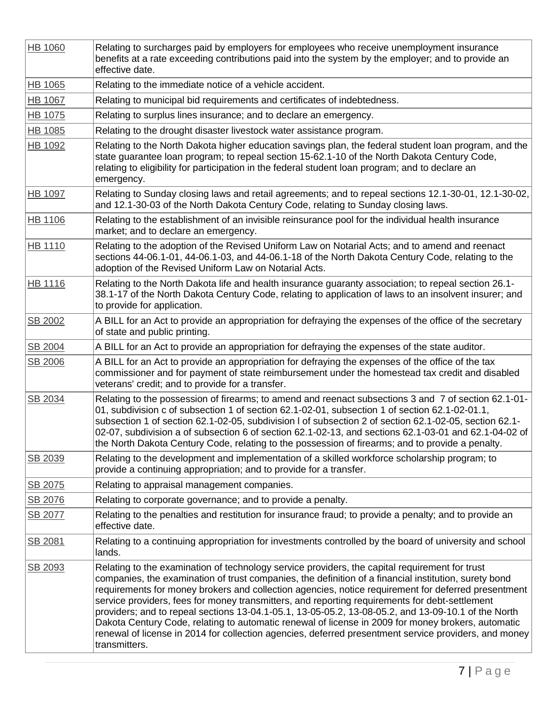| <b>HB 1060</b> | Relating to surcharges paid by employers for employees who receive unemployment insurance<br>benefits at a rate exceeding contributions paid into the system by the employer; and to provide an<br>effective date.                                                                                                                                                                                                                                                                                                                                                                                                                                                                                                                                      |
|----------------|---------------------------------------------------------------------------------------------------------------------------------------------------------------------------------------------------------------------------------------------------------------------------------------------------------------------------------------------------------------------------------------------------------------------------------------------------------------------------------------------------------------------------------------------------------------------------------------------------------------------------------------------------------------------------------------------------------------------------------------------------------|
| HB 1065        | Relating to the immediate notice of a vehicle accident.                                                                                                                                                                                                                                                                                                                                                                                                                                                                                                                                                                                                                                                                                                 |
| <b>HB 1067</b> | Relating to municipal bid requirements and certificates of indebtedness.                                                                                                                                                                                                                                                                                                                                                                                                                                                                                                                                                                                                                                                                                |
| <b>HB 1075</b> | Relating to surplus lines insurance; and to declare an emergency.                                                                                                                                                                                                                                                                                                                                                                                                                                                                                                                                                                                                                                                                                       |
| <b>HB 1085</b> | Relating to the drought disaster livestock water assistance program.                                                                                                                                                                                                                                                                                                                                                                                                                                                                                                                                                                                                                                                                                    |
| <b>HB 1092</b> | Relating to the North Dakota higher education savings plan, the federal student loan program, and the<br>state guarantee loan program; to repeal section 15-62.1-10 of the North Dakota Century Code,<br>relating to eligibility for participation in the federal student loan program; and to declare an<br>emergency.                                                                                                                                                                                                                                                                                                                                                                                                                                 |
| <b>HB 1097</b> | Relating to Sunday closing laws and retail agreements; and to repeal sections 12.1-30-01, 12.1-30-02,<br>and 12.1-30-03 of the North Dakota Century Code, relating to Sunday closing laws.                                                                                                                                                                                                                                                                                                                                                                                                                                                                                                                                                              |
| <b>HB 1106</b> | Relating to the establishment of an invisible reinsurance pool for the individual health insurance<br>market; and to declare an emergency.                                                                                                                                                                                                                                                                                                                                                                                                                                                                                                                                                                                                              |
| HB 1110        | Relating to the adoption of the Revised Uniform Law on Notarial Acts; and to amend and reenact<br>sections 44-06.1-01, 44-06.1-03, and 44-06.1-18 of the North Dakota Century Code, relating to the<br>adoption of the Revised Uniform Law on Notarial Acts.                                                                                                                                                                                                                                                                                                                                                                                                                                                                                            |
| <b>HB 1116</b> | Relating to the North Dakota life and health insurance guaranty association; to repeal section 26.1-<br>38.1-17 of the North Dakota Century Code, relating to application of laws to an insolvent insurer; and<br>to provide for application.                                                                                                                                                                                                                                                                                                                                                                                                                                                                                                           |
| SB 2002        | A BILL for an Act to provide an appropriation for defraying the expenses of the office of the secretary<br>of state and public printing.                                                                                                                                                                                                                                                                                                                                                                                                                                                                                                                                                                                                                |
| SB 2004        | A BILL for an Act to provide an appropriation for defraying the expenses of the state auditor.                                                                                                                                                                                                                                                                                                                                                                                                                                                                                                                                                                                                                                                          |
| SB 2006        | A BILL for an Act to provide an appropriation for defraying the expenses of the office of the tax<br>commissioner and for payment of state reimbursement under the homestead tax credit and disabled<br>veterans' credit; and to provide for a transfer.                                                                                                                                                                                                                                                                                                                                                                                                                                                                                                |
| SB 2034        | Relating to the possession of firearms; to amend and reenact subsections 3 and 7 of section 62.1-01-<br>01, subdivision c of subsection 1 of section 62.1-02-01, subsection 1 of section 62.1-02-01.1,<br>subsection 1 of section 62.1-02-05, subdivision I of subsection 2 of section 62.1-02-05, section 62.1-<br>02-07, subdivision a of subsection 6 of section 62.1-02-13, and sections 62.1-03-01 and 62.1-04-02 of<br>the North Dakota Century Code, relating to the possession of firearms; and to provide a penalty.                                                                                                                                                                                                                           |
| SB 2039        | Relating to the development and implementation of a skilled workforce scholarship program; to<br>provide a continuing appropriation; and to provide for a transfer.                                                                                                                                                                                                                                                                                                                                                                                                                                                                                                                                                                                     |
| SB 2075        | Relating to appraisal management companies.                                                                                                                                                                                                                                                                                                                                                                                                                                                                                                                                                                                                                                                                                                             |
| SB 2076        | Relating to corporate governance; and to provide a penalty.                                                                                                                                                                                                                                                                                                                                                                                                                                                                                                                                                                                                                                                                                             |
| SB 2077        | Relating to the penalties and restitution for insurance fraud; to provide a penalty; and to provide an<br>effective date.                                                                                                                                                                                                                                                                                                                                                                                                                                                                                                                                                                                                                               |
| SB 2081        | Relating to a continuing appropriation for investments controlled by the board of university and school<br>lands.                                                                                                                                                                                                                                                                                                                                                                                                                                                                                                                                                                                                                                       |
| SB 2093        | Relating to the examination of technology service providers, the capital requirement for trust<br>companies, the examination of trust companies, the definition of a financial institution, surety bond<br>requirements for money brokers and collection agencies, notice requirement for deferred presentment<br>service providers, fees for money transmitters, and reporting requirements for debt-settlement<br>providers; and to repeal sections 13-04.1-05.1, 13-05-05.2, 13-08-05.2, and 13-09-10.1 of the North<br>Dakota Century Code, relating to automatic renewal of license in 2009 for money brokers, automatic<br>renewal of license in 2014 for collection agencies, deferred presentment service providers, and money<br>transmitters. |